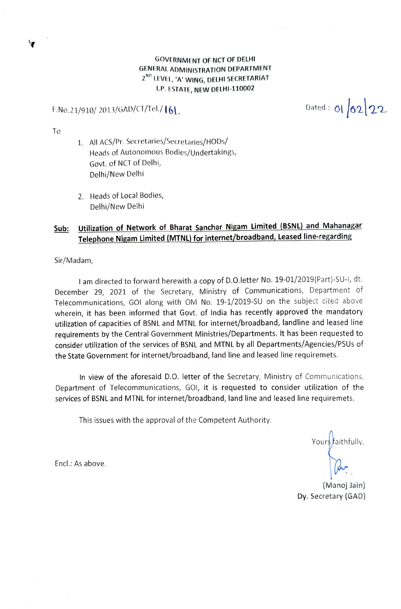### GOVERNMENT OF NCT OF DELHI GENERAL ADMINISTRATION DEPARTMENT 2<sup>ND</sup> LEVEL, 'A' WING, DELHI SECRETARIAT P. ESTATE, NEW DELHI-110002

F.No.21/910/ 2013/GAD/CT/Tel./ 161. Dated:- 01 0ated:- 01 02 22

To

- 1. All ACS/pr. Secretaries/Secretaries/HODs/ Heads of Autonomous Bodies/Undertakings, Govt. of NCT of Delhi, Delhi/New Delhi
- 2. Heads of Local Bodies, Delhi/New Delhi

# Sub: Utilization of Network of Bharat Sanchar Nigam Limited (BSNL) and Mahanagar Telephone Nigam Limited (MTNL) for internet/broadband, Leased line-regarding

Sir/Madam,

l am directed to forward herewith a copy of D.O.letter No. 19-01/2019(Part)-SU-1, dt. December 29, 2021 of the Secretary, Ministry of Communications, Department of Telecommunications, GOI along with OM No. 19-1/2019-SU on the subject cited above wherein, it has been informed that Govt. of India has recently approved the mandatory utilization of capacities of BSNL and MTNL for internet/broadband, landline and leased line requirements by the Central Government Ministries/Departments. It has been requested to consider utilization of the services of BSNL and MTNL by all Departments/Agencies/PSUs of the State Government for internet/broadband, land line and leased line requiremets.

In view of the aforesaid D.O. letter of the Secretary, Ministry of Communications, Department of Telecommunications, GO1, it is requested to consider utilization of the services of BSNL and MTNL for internet/broadband, land line and leased line requiremets.

This issues with the approval of the Competent Authority.

Yours faithfully,

(Manoj Jain) Dy. Secretary (GAD)

Encl.: As above.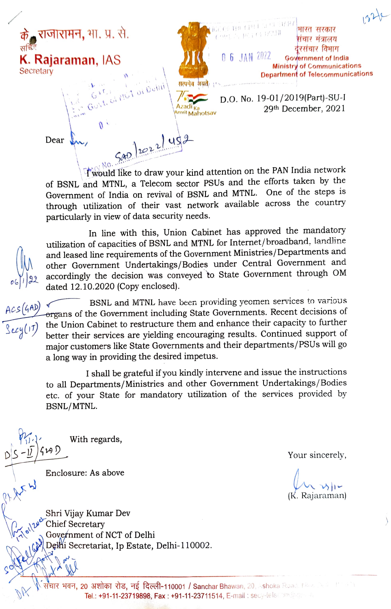**राजारामन.** भा. प्र. से. के राजारामन, भा. प्र. से.<br>सब्दे **K. Rajaraman, IAS** 06 JAN 2022 **Secretary** 

.

भारत सरकार संचार मंत्रालय रसंचार विमाग Government of India Ministry of Communications Department of Telecommunications सत्यमेव अयते D.O. No. 19-01/2019(Part)-SU-I Azadi <sub>Ka</sub> 2021 - 29th December, 2021<br><sup>Amrit</sup> Mahotsav

Dear

Twould like to draw your kind attention on the PAN India network of BSNL and MTNL, a Telecom sector PSUs and the efforts taken by the Government of India on revival of BSNL and MTNL. One of the steps is through utilization of their vast network available across the country particularly in view of data security needs.

 $502221452$ 

In line with this, Union Cabinet has approved the mandatory utilization of capacities of BSNL and MTNL for Internet/ broadband, landline and leased line requirements of the Government Ministries/Departments and other Government Undertakings/Bodies under Central Government and accordingly the decision was conveyed to State Government through OM dated 12.10.2020 (Copy enclosed.

BSNL and MTNL have been providing yeomen services to various organs of the Government including State Governments. Recent decisions of  $\overline{\text{Reg}(17)}$  the Union Cabinet to restructure them and enhance their capacity to further better their services are yielding encouraging results. Continued support of major customers like State Governments and their departments/PSUs will go a long way in providing the desired impetus.

> I shall be grateful if you kindly intervene and issue the instructions to all Departments/Ministries and other Government Undertakings/Bodies etc. of your State for mandatory utilization of the services provided by BSNL/MTNL.

 $DS - ID/349D$  Your sincerely,

Enclosure: As above

With regards,

(K. Rajaraman)

Shri Vijay Kumar Dev Chief Secretary<br>Gove*f*nment of NCT of Delhi Delhi Secretariat, Ip Estate, Delhi-110002.

संचार भवन, 20 अशोका रोड, नई दिल्ली-110001 / Sanchar Bhawan, 20, Ashoka Road, New Section 11 Tel.: +91-11-23719898, Fax: +91-11-23711514, E-mail: secy-telecton@gestin